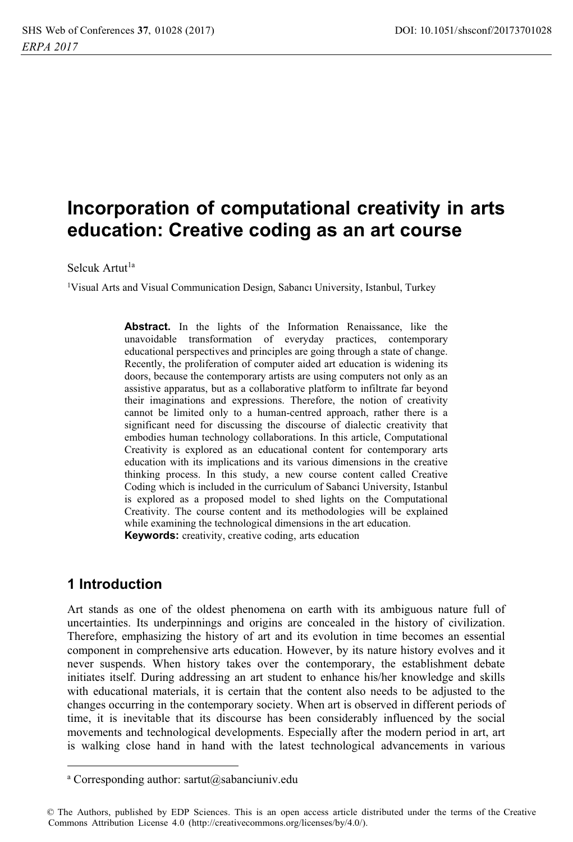# Incorporation of computational creativity in arts education: Creative coding as an art course

Selcuk Artut<sup>la</sup>

<sup>1</sup>Visual Arts and Visual Communication Design, Sabancı University, Istanbul, Turkey

Abstract. In the lights of the Information Renaissance, like the unavoidable transformation of everyday practices, contemporary educational perspectives and principles are going through a state of change. Recently, the proliferation of computer aided art education is widening its doors, because the contemporary artists are using computers not only as an assistive apparatus, but as a collaborative platform to infiltrate far beyond their imaginations and expressions. Therefore, the notion of creativity cannot be limited only to a human-centred approach, rather there is a significant need for discussing the discourse of dialectic creativity that embodies human technology collaborations. In this article, Computational Creativity is explored as an educational content for contemporary arts education with its implications and its various dimensions in the creative thinking process. In this study, a new course content called Creative Coding which is included in the curriculum of Sabanci University, Istanbul is explored as a proposed model to shed lights on the Computational Creativity. The course content and its methodologies will be explained while examining the technological dimensions in the art education. Keywords: creativity, creative coding, arts education

## 1 Introduction

Art stands as one of the oldest phenomena on earth with its ambiguous nature full of uncertainties. Its underpinnings and origins are concealed in the history of civilization. Therefore, emphasizing the history of art and its evolution in time becomes an essential component in comprehensive arts education. However, by its nature history evolves and it never suspends. When history takes over the contemporary, the establishment debate initiates itself. During addressing an art student to enhance his/her knowledge and skills with educational materials, it is certain that the content also needs to be adjusted to the changes occurring in the contemporary society. When art is observed in different periods of time, it is inevitable that its discourse has been considerably influenced by the social movements and technological developments. Especially after the modern period in art, art is walking close hand in hand with the latest technological advancements in various

<sup>&</sup>lt;sup>a</sup> Corresponding author: sartut@sabanciuniv.edu

C The Authors, published by EDP Sciences. This is an open access article distributed under the terms of the Creative Commons Attribution License 4.0 (http://creativecommons.org/licenses/by/4.0/).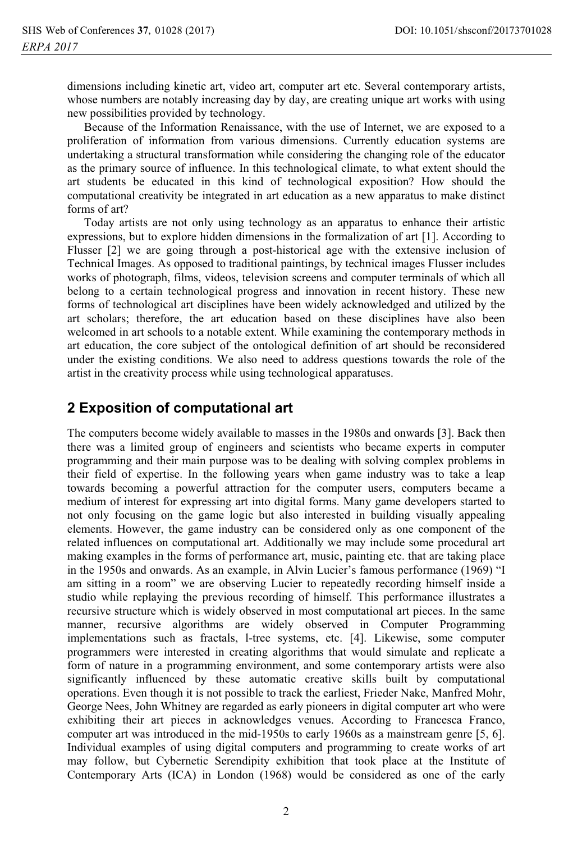dimensions including kinetic art, video art, computer art etc. Several contemporary artists, whose numbers are notably increasing day by day, are creating unique art works with using new possibilities provided by technology.

Because of the Information Renaissance, with the use of Internet, we are exposed to a proliferation of information from various dimensions. Currently education systems are undertaking a structural transformation while considering the changing role of the educator as the primary source of influence. In this technological climate, to what extent should the art students be educated in this kind of technological exposition? How should the computational creativity be integrated in art education as a new apparatus to make distinct forms of art?

Today artists are not only using technology as an apparatus to enhance their artistic expressions, but to explore hidden dimensions in the formalization of art [1]. According to Flusser [2] we are going through a post-historical age with the extensive inclusion of Technical Images. As opposed to traditional paintings, by technical images Flusser includes works of photograph, films, videos, television screens and computer terminals of which all belong to a certain technological progress and innovation in recent history. These new forms of technological art disciplines have been widely acknowledged and utilized by the art scholars; therefore, the art education based on these disciplines have also been welcomed in art schools to a notable extent. While examining the contemporary methods in art education, the core subject of the ontological definition of art should be reconsidered under the existing conditions. We also need to address questions towards the role of the artist in the creativity process while using technological apparatuses.

#### 2 Exposition of computational art

The computers become widely available to masses in the 1980s and onwards [3]. Back then there was a limited group of engineers and scientists who became experts in computer programming and their main purpose was to be dealing with solving complex problems in their field of expertise. In the following years when game industry was to take a leap towards becoming a powerful attraction for the computer users, computers became a medium of interest for expressing art into digital forms. Many game developers started to not only focusing on the game logic but also interested in building visually appealing elements. However, the game industry can be considered only as one component of the related influences on computational art. Additionally we may include some procedural art making examples in the forms of performance art, music, painting etc. that are taking place in the 1950s and onwards. As an example, in Alvin Lucier's famous performance (1969) "I am sitting in a room" we are observing Lucier to repeatedly recording himself inside a studio while replaying the previous recording of himself. This performance illustrates a recursive structure which is widely observed in most computational art pieces. In the same manner, recursive algorithms are widely observed in Computer Programming implementations such as fractals, 1-tree systems, etc. [4]. Likewise, some computer programmers were interested in creating algorithms that would simulate and replicate a form of nature in a programming environment, and some contemporary artists were also significantly influenced by these automatic creative skills built by computational operations. Even though it is not possible to track the earliest, Frieder Nake, Manfred Mohr, George Nees, John Whitney are regarded as early pioneers in digital computer art who were exhibiting their art pieces in acknowledges venues. According to Francesca Franco, computer art was introduced in the mid-1950s to early 1960s as a mainstream genre [5, 6]. Individual examples of using digital computers and programming to create works of art may follow, but Cybernetic Serendipity exhibition that took place at the Institute of Contemporary Arts (ICA) in London (1968) would be considered as one of the early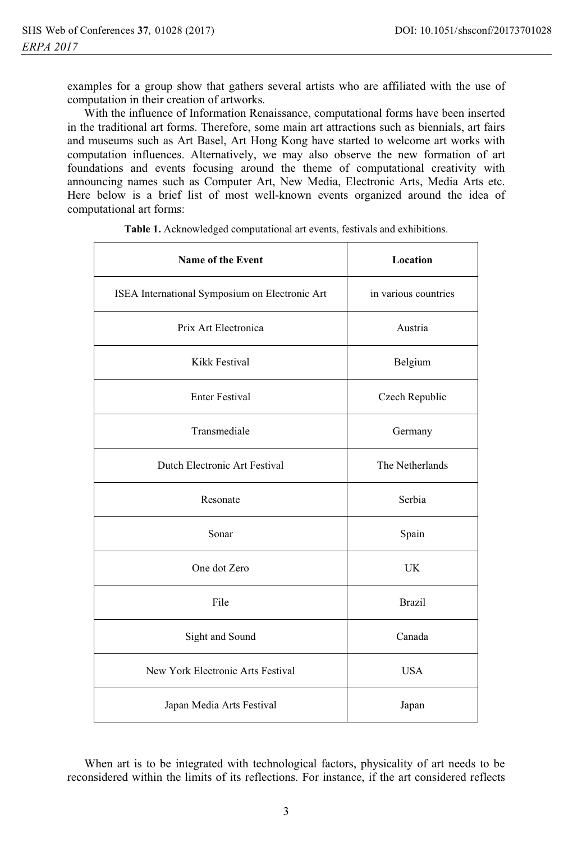examples for a group show that gathers several artists who are affiliated with the use of computation in their creation of artworks.

With the influence of Information Renaissance, computational forms have been inserted in the traditional art forms. Therefore, some main art attractions such as biennials, art fairs and museums such as Art Basel, Art Hong Kong have started to welcome art works with computation influences. Alternatively, we may also observe the new formation of art foundations and events focusing around the theme of computational creativity with announcing names such as Computer Art, New Media, Electronic Arts, Media Arts etc. Here below is a brief list of most well-known events organized around the idea of computational art forms:

| Name of the Event                              | Location             |
|------------------------------------------------|----------------------|
| ISEA International Symposium on Electronic Art | in various countries |
| Prix Art Electronica                           | Austria              |
| Kikk Festival                                  | Belgium              |
| <b>Enter Festival</b>                          | Czech Republic       |
| Transmediale                                   | Germany              |
| Dutch Electronic Art Festival                  | The Netherlands      |
| Resonate                                       | Serbia               |
| Sonar                                          | Spain                |
| One dot Zero                                   | <b>UK</b>            |
| File                                           | <b>Brazil</b>        |
| Sight and Sound                                | Canada               |
| New York Electronic Arts Festival              | <b>USA</b>           |
| Japan Media Arts Festival                      | Japan                |

Table 1. Acknowledged computational art events, festivals and exhibitions.

When art is to be integrated with technological factors, physicality of art needs to be reconsidered within the limits of its reflections. For instance, if the art considered reflects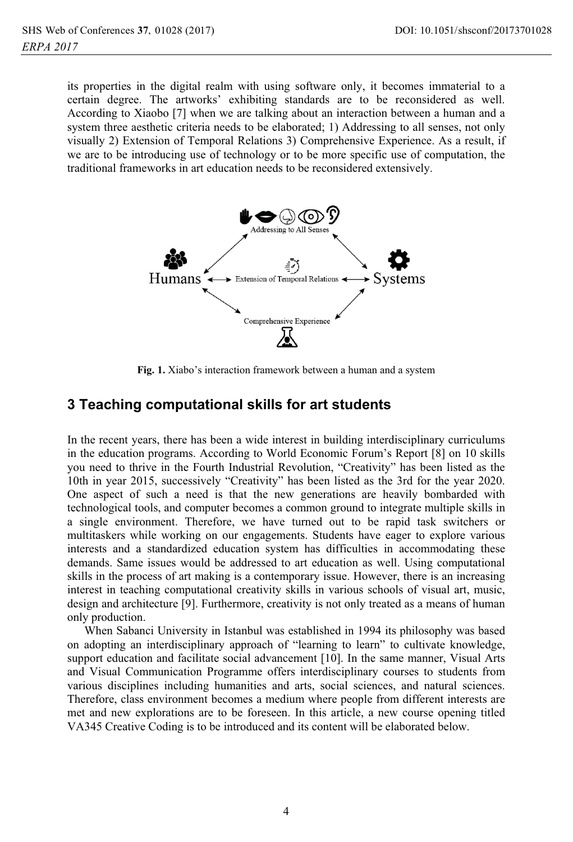its properties in the digital realm with using software only, it becomes immaterial to a certain degree. The artworks' exhibiting standards are to be reconsidered as well. According to Xiaobo [7] when we are talking about an interaction between a human and a system three aesthetic criteria needs to be elaborated; 1) Addressing to all senses, not only visually 2) Extension of Temporal Relations 3) Comprehensive Experience. As a result, if we are to be introducing use of technology or to be more specific use of computation, the traditional frameworks in art education needs to be reconsidered extensively.



Fig. 1. Xiabo's interaction framework between a human and a system

#### 3 Teaching computational skills for art students

In the recent years, there has been a wide interest in building interdisciplinary curriculums in the education programs. According to World Economic Forum's Report [8] on 10 skills you need to thrive in the Fourth Industrial Revolution, "Creativity" has been listed as the 10th in year 2015, successively "Creativity" has been listed as the 3rd for the year 2020. One aspect of such a need is that the new generations are heavily bombarded with technological tools, and computer becomes a common ground to integrate multiple skills in a single environment. Therefore, we have turned out to be rapid task switchers or multitaskers while working on our engagements. Students have eager to explore various interests and a standardized education system has difficulties in accommodating these demands. Same issues would be addressed to art education as well. Using computational skills in the process of art making is a contemporary issue. However, there is an increasing interest in teaching computational creativity skills in various schools of visual art, music, design and architecture [9]. Furthermore, creativity is not only treated as a means of human only production.

When Sabanci University in Istanbul was established in 1994 its philosophy was based on adopting an interdisciplinary approach of "learning to learn" to cultivate knowledge, support education and facilitate social advancement [10]. In the same manner, Visual Arts and Visual Communication Programme offers interdisciplinary courses to students from various disciplines including humanities and arts, social sciences, and natural sciences. Therefore, class environment becomes a medium where people from different interests are met and new explorations are to be foreseen. In this article, a new course opening titled VA345 Creative Coding is to be introduced and its content will be elaborated below.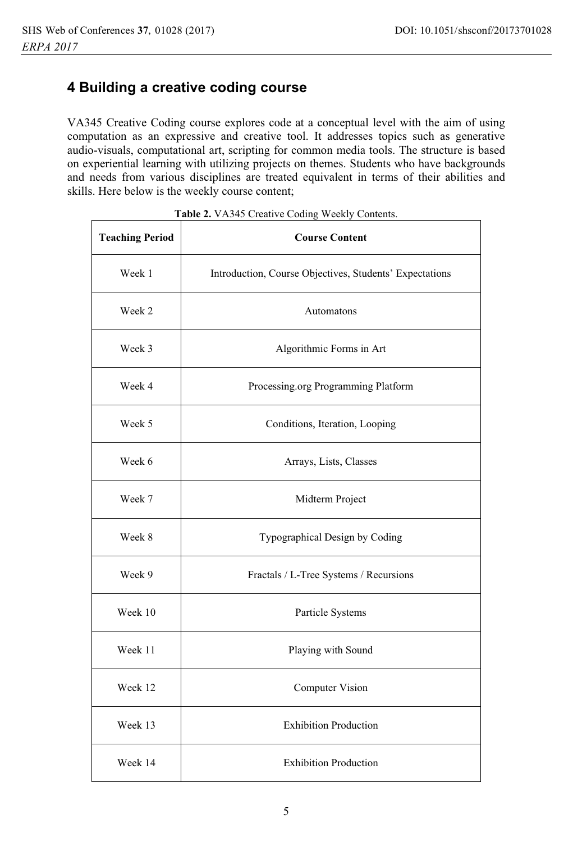# 4 Building a creative coding course

VA345 Creative Coding course explores code at a conceptual level with the aim of using computation as an expressive and creative tool. It addresses topics such as generative audio-visuals, computational art, scripting for common media tools. The structure is based on experiential learning with utilizing projects on themes. Students who have backgrounds and needs from various disciplines are treated equivalent in terms of their abilities and skills. Here below is the weekly course content;

| <b>Teaching Period</b> | <b>Course Content</b>                                   |  |
|------------------------|---------------------------------------------------------|--|
| Week 1                 | Introduction, Course Objectives, Students' Expectations |  |
| Week 2                 | Automatons                                              |  |
| Week 3                 | Algorithmic Forms in Art                                |  |
| Week 4                 | Processing.org Programming Platform                     |  |
| Week 5                 | Conditions, Iteration, Looping                          |  |
| Week 6                 | Arrays, Lists, Classes                                  |  |
| Week 7                 | Midterm Project                                         |  |
| Week 8                 | Typographical Design by Coding                          |  |
| Week 9                 | Fractals / L-Tree Systems / Recursions                  |  |
| Week 10                | Particle Systems                                        |  |
| Week 11                | Playing with Sound                                      |  |
| Week 12                | <b>Computer Vision</b>                                  |  |
| Week 13                | <b>Exhibition Production</b>                            |  |
| Week 14                | <b>Exhibition Production</b>                            |  |

Table 2. VA345 Creative Coding Weekly Contents.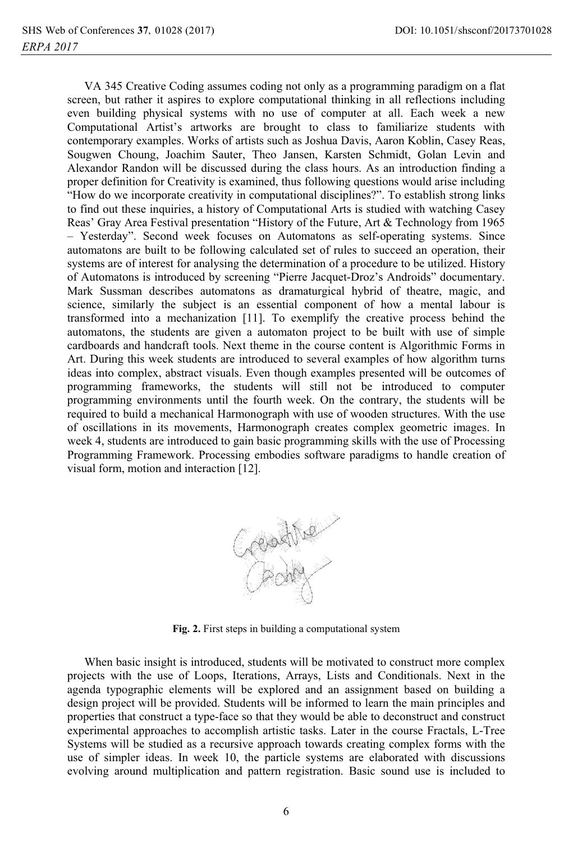VA 345 Creative Coding assumes coding not only as a programming paradigm on a flat screen, but rather it aspires to explore computational thinking in all reflections including even building physical systems with no use of computer at all. Each week a new Computational Artist's artworks are brought to class to familiarize students with contemporary examples. Works of artists such as Joshua Davis, Aaron Koblin, Casey Reas, Sougwen Choung, Joachim Sauter, Theo Jansen, Karsten Schmidt, Golan Levin and Alexandor Randon will be discussed during the class hours. As an introduction finding a proper definition for Creativity is examined, thus following questions would arise including "How do we incorporate creativity in computational disciplines?". To establish strong links to find out these inquiries, a history of Computational Arts is studied with watching Casey Reas' Gray Area Festival presentation "History of the Future, Art & Technology from 1965 - Yesterday". Second week focuses on Automatons as self-operating systems. Since automatons are built to be following calculated set of rules to succeed an operation, their systems are of interest for analysing the determination of a procedure to be utilized. History of Automatons is introduced by screening "Pierre Jacquet-Droz's Androids" documentary. Mark Sussman describes automatons as dramaturgical hybrid of theatre, magic, and science, similarly the subject is an essential component of how a mental labour is transformed into a mechanization [11]. To exemplify the creative process behind the automatons, the students are given a automaton project to be built with use of simple cardboards and handcraft tools. Next theme in the course content is Algorithmic Forms in Art. During this week students are introduced to several examples of how algorithm turns ideas into complex, abstract visuals. Even though examples presented will be outcomes of programming frameworks, the students will still not be introduced to computer programming environments until the fourth week. On the contrary, the students will be required to build a mechanical Harmonograph with use of wooden structures. With the use of oscillations in its movements, Harmonograph creates complex geometric images. In week 4, students are introduced to gain basic programming skills with the use of Processing Programming Framework. Processing embodies software paradigms to handle creation of visual form, motion and interaction [12].



Fig. 2. First steps in building a computational system

When basic insight is introduced, students will be motivated to construct more complex projects with the use of Loops, Iterations, Arrays, Lists and Conditionals. Next in the agenda typographic elements will be explored and an assignment based on building a design project will be provided. Students will be informed to learn the main principles and properties that construct a type-face so that they would be able to deconstruct and construct experimental approaches to accomplish artistic tasks. Later in the course Fractals, L-Tree Systems will be studied as a recursive approach towards creating complex forms with the use of simpler ideas. In week 10, the particle systems are elaborated with discussions evolving around multiplication and pattern registration. Basic sound use is included to